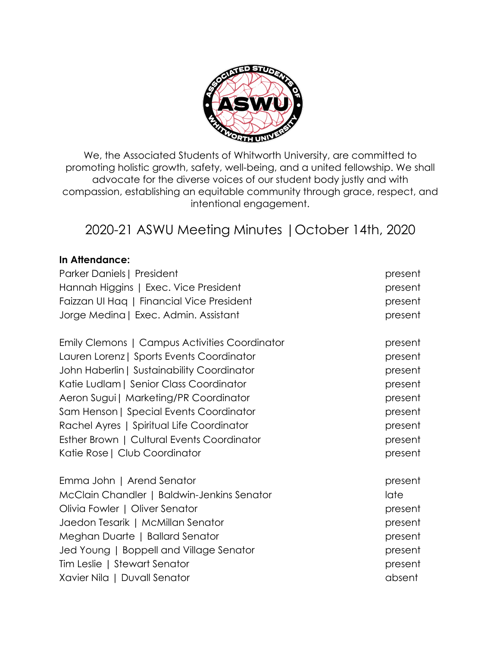

We, the Associated Students of Whitworth University, are committed to promoting holistic growth, safety, well-being, and a united fellowship. We shall advocate for the diverse voices of our student body justly and with compassion, establishing an equitable community through grace, respect, and intentional engagement.

# 2020-21 ASWU Meeting Minutes |October 14th, 2020

## **In Attendance:**

| Parker Daniels   President                    | present |
|-----------------------------------------------|---------|
| Hannah Higgins   Exec. Vice President         | present |
| Faizzan UI Hag   Financial Vice President     | present |
| Jorge Medina   Exec. Admin. Assistant         | present |
| Emily Clemons   Campus Activities Coordinator | present |
| Lauren Lorenz   Sports Events Coordinator     | present |
| John Haberlin   Sustainability Coordinator    | present |
| Katie Ludlam   Senior Class Coordinator       | present |
| Aeron Sugui   Marketing/PR Coordinator        | present |
| Sam Henson   Special Events Coordinator       | present |
| Rachel Ayres   Spiritual Life Coordinator     | present |
| Esther Brown   Cultural Events Coordinator    | present |
| Katie Rose   Club Coordinator                 | present |
| Emma John   Arend Senator                     | present |
| McClain Chandler   Baldwin-Jenkins Senator    | late    |
| Olivia Fowler   Oliver Senator                | present |
| Jaedon Tesarik   McMillan Senator             | present |
| Meghan Duarte   Ballard Senator               | present |
| Jed Young   Boppell and Village Senator       | present |
| Tim Leslie   Stewart Senator                  | present |
| Xavier Nila   Duvall Senator                  | absent  |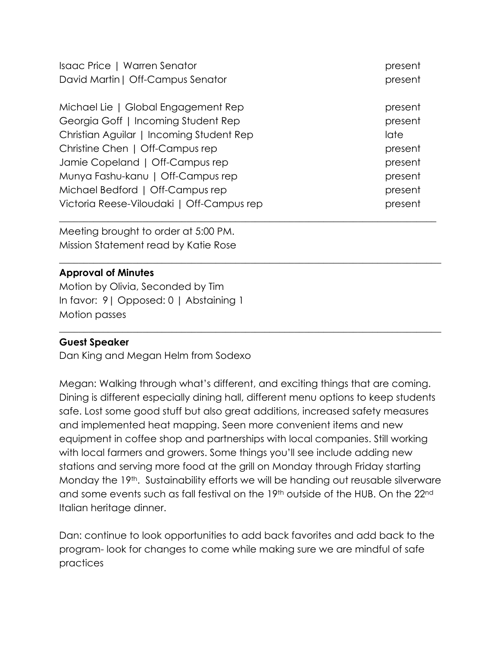| Isaac Price   Warren Senator              | present |
|-------------------------------------------|---------|
| David Martin   Off-Campus Senator         | present |
| Michael Lie   Global Engagement Rep       | present |
| Georgia Goff   Incoming Student Rep       | present |
| Christian Aguilar   Incoming Student Rep  | late    |
| Christine Chen   Off-Campus rep           | present |
| Jamie Copeland   Off-Campus rep           | present |
| Munya Fashu-kanu   Off-Campus rep         | present |
| Michael Bedford   Off-Campus rep          | present |
| Victoria Reese-Viloudaki   Off-Campus rep | present |

\_\_\_\_\_\_\_\_\_\_\_\_\_\_\_\_\_\_\_\_\_\_\_\_\_\_\_\_\_\_\_\_\_\_\_\_\_\_\_\_\_\_\_\_\_\_\_\_\_\_\_\_\_\_\_\_\_\_\_\_\_\_\_\_\_\_\_\_\_\_\_\_\_\_\_\_\_\_

 $\_$  , and the set of the set of the set of the set of the set of the set of the set of the set of the set of the set of the set of the set of the set of the set of the set of the set of the set of the set of the set of th

Meeting brought to order at 5:00 PM. Mission Statement read by Katie Rose

## **Approval of Minutes**

Motion by Olivia, Seconded by Tim In favor: 9| Opposed: 0 | Abstaining 1 Motion passes

## **Guest Speaker**

Dan King and Megan Helm from Sodexo

Megan: Walking through what's different, and exciting things that are coming. Dining is different especially dining hall, different menu options to keep students safe. Lost some good stuff but also great additions, increased safety measures and implemented heat mapping. Seen more convenient items and new equipment in coffee shop and partnerships with local companies. Still working with local farmers and growers. Some things you'll see include adding new stations and serving more food at the grill on Monday through Friday starting Monday the 19<sup>th</sup>. Sustainability efforts we will be handing out reusable silverware and some events such as fall festival on the 19<sup>th</sup> outside of the HUB. On the 22<sup>nd</sup> Italian heritage dinner.

Dan: continue to look opportunities to add back favorites and add back to the program- look for changes to come while making sure we are mindful of safe practices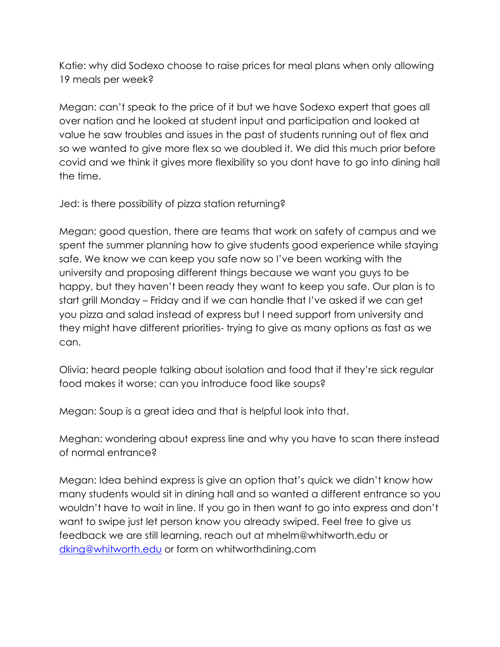Katie: why did Sodexo choose to raise prices for meal plans when only allowing 19 meals per week?

Megan: can't speak to the price of it but we have Sodexo expert that goes all over nation and he looked at student input and participation and looked at value he saw troubles and issues in the past of students running out of flex and so we wanted to give more flex so we doubled it. We did this much prior before covid and we think it gives more flexibility so you dont have to go into dining hall the time.

Jed: is there possibility of pizza station returning?

Megan: good question, there are teams that work on safety of campus and we spent the summer planning how to give students good experience while staying safe. We know we can keep you safe now so I've been working with the university and proposing different things because we want you guys to be happy, but they haven't been ready they want to keep you safe. Our plan is to start grill Monday – Friday and if we can handle that I've asked if we can get you pizza and salad instead of express but I need support from university and they might have different priorities- trying to give as many options as fast as we can.

Olivia: heard people talking about isolation and food that if they're sick regular food makes it worse; can you introduce food like soups?

Megan: Soup is a great idea and that is helpful look into that.

Meghan: wondering about express line and why you have to scan there instead of normal entrance?

Megan: Idea behind express is give an option that's quick we didn't know how many students would sit in dining hall and so wanted a different entrance so you wouldn't have to wait in line. If you go in then want to go into express and don't want to swipe just let person know you already swiped. Feel free to give us feedback we are still learning, reach out at mhelm@whitworth.edu or dking@whitworth.edu or form on whitworthdining.com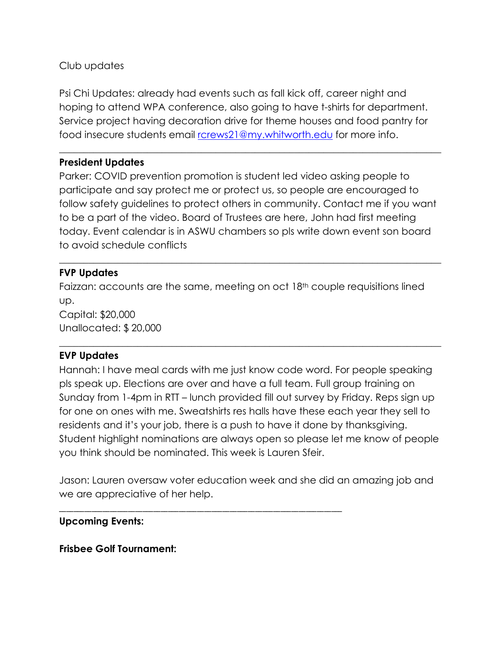Club updates

Psi Chi Updates: already had events such as fall kick off, career night and hoping to attend WPA conference, also going to have t-shirts for department. Service project having decoration drive for theme houses and food pantry for food insecure students email rcrews21@my.whitworth.edu for more info.

\_\_\_\_\_\_\_\_\_\_\_\_\_\_\_\_\_\_\_\_\_\_\_\_\_\_\_\_\_\_\_\_\_\_\_\_\_\_\_\_\_\_\_\_\_\_\_\_\_\_\_\_\_\_\_\_\_\_\_\_\_\_\_\_\_\_\_\_\_\_\_\_\_\_\_\_\_\_

## **President Updates**

Parker: COVID prevention promotion is student led video asking people to participate and say protect me or protect us, so people are encouraged to follow safety guidelines to protect others in community. Contact me if you want to be a part of the video. Board of Trustees are here, John had first meeting today. Event calendar is in ASWU chambers so pls write down event son board to avoid schedule conflicts

\_\_\_\_\_\_\_\_\_\_\_\_\_\_\_\_\_\_\_\_\_\_\_\_\_\_\_\_\_\_\_\_\_\_\_\_\_\_\_\_\_\_\_\_\_\_\_\_\_\_\_\_\_\_\_\_\_\_\_\_\_\_\_\_\_\_\_\_\_\_\_\_\_\_\_\_\_\_

## **FVP Updates**

Faizzan: accounts are the same, meeting on oct 18<sup>th</sup> couple requisitions lined up.

Capital: \$20,000 Unallocated: \$ 20,000

## **EVP Updates**

Hannah: I have meal cards with me just know code word. For people speaking pls speak up. Elections are over and have a full team. Full group training on Sunday from 1-4pm in RTT – lunch provided fill out survey by Friday. Reps sign up for one on ones with me. Sweatshirts res halls have these each year they sell to residents and it's your job, there is a push to have it done by thanksgiving. Student highlight nominations are always open so please let me know of people you think should be nominated. This week is Lauren Sfeir.

 $\_$  , and the set of the set of the set of the set of the set of the set of the set of the set of the set of the set of the set of the set of the set of the set of the set of the set of the set of the set of the set of th

Jason: Lauren oversaw voter education week and she did an amazing job and we are appreciative of her help.

\_\_\_\_\_\_\_\_\_\_\_\_\_\_\_\_\_\_\_\_\_\_\_\_\_\_\_\_\_\_\_\_\_\_\_\_\_\_\_\_\_\_\_\_\_\_\_\_\_\_\_\_\_\_\_\_\_\_\_\_\_\_\_\_\_\_\_\_\_\_\_\_\_\_\_\_\_\_

## **Upcoming Events:**

**Frisbee Golf Tournament:**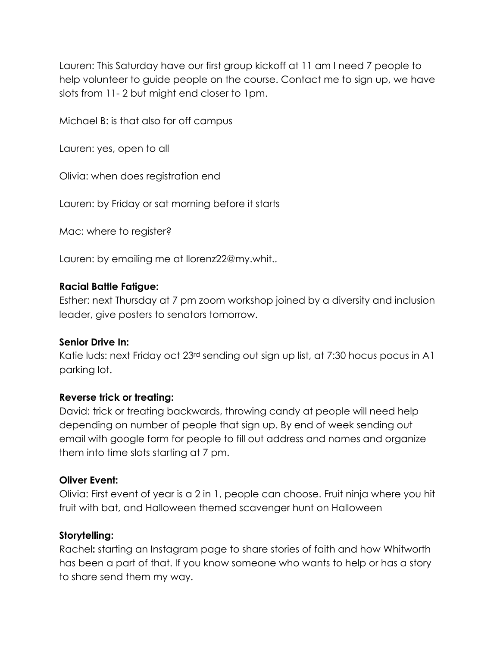Lauren: This Saturday have our first group kickoff at 11 am I need 7 people to help volunteer to guide people on the course. Contact me to sign up, we have slots from 11- 2 but might end closer to 1pm.

Michael B: is that also for off campus

Lauren: yes, open to all

Olivia: when does registration end

Lauren: by Friday or sat morning before it starts

Mac: where to register?

Lauren: by emailing me at llorenz22@my.whit..

#### **Racial Battle Fatigue:**

Esther: next Thursday at 7 pm zoom workshop joined by a diversity and inclusion leader, give posters to senators tomorrow.

## **Senior Drive In:**

Katie luds: next Friday oct 23<sup>rd</sup> sending out sign up list, at 7:30 hocus pocus in A1 parking lot.

## **Reverse trick or treating:**

David: trick or treating backwards, throwing candy at people will need help depending on number of people that sign up. By end of week sending out email with google form for people to fill out address and names and organize them into time slots starting at 7 pm.

## **Oliver Event:**

Olivia: First event of year is a 2 in 1, people can choose. Fruit ninja where you hit fruit with bat, and Halloween themed scavenger hunt on Halloween

## **Storytelling:**

Rachel**:** starting an Instagram page to share stories of faith and how Whitworth has been a part of that. If you know someone who wants to help or has a story to share send them my way.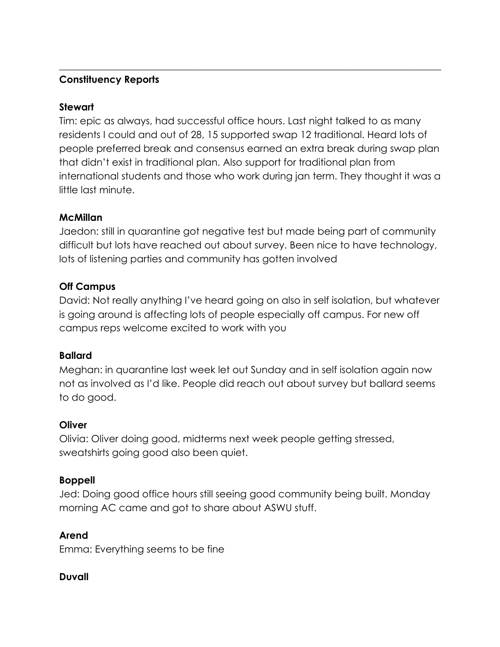## **Constituency Reports**

## **Stewart**

Tim: epic as always, had successful office hours. Last night talked to as many residents I could and out of 28, 15 supported swap 12 traditional. Heard lots of people preferred break and consensus earned an extra break during swap plan that didn't exist in traditional plan. Also support for traditional plan from international students and those who work during jan term. They thought it was a little last minute.

 $\_$  , and the set of the set of the set of the set of the set of the set of the set of the set of the set of the set of the set of the set of the set of the set of the set of the set of the set of the set of the set of th

## **McMillan**

Jaedon: still in quarantine got negative test but made being part of community difficult but lots have reached out about survey. Been nice to have technology, lots of listening parties and community has gotten involved

## **Off Campus**

David: Not really anything I've heard going on also in self isolation, but whatever is going around is affecting lots of people especially off campus. For new off campus reps welcome excited to work with you

## **Ballard**

Meghan: in quarantine last week let out Sunday and in self isolation again now not as involved as I'd like. People did reach out about survey but ballard seems to do good.

## **Oliver**

Olivia: Oliver doing good, midterms next week people getting stressed, sweatshirts going good also been quiet.

## **Boppell**

Jed: Doing good office hours still seeing good community being built. Monday morning AC came and got to share about ASWU stuff.

## **Arend**

Emma: Everything seems to be fine

## **Duvall**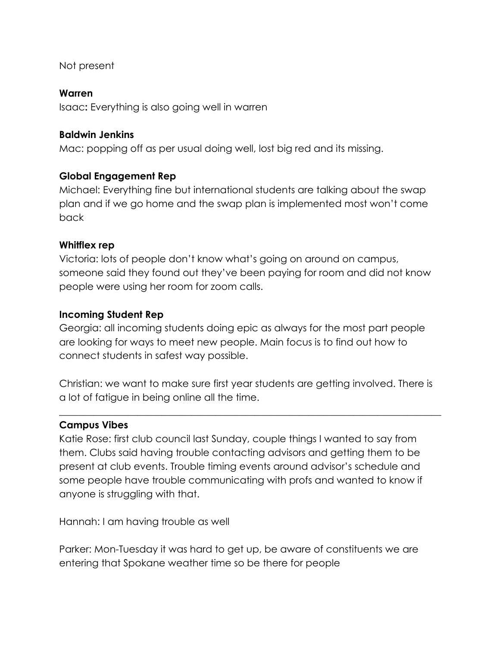Not present

## **Warren**

Isaac**:** Everything is also going well in warren

## **Baldwin Jenkins**

Mac: popping off as per usual doing well, lost big red and its missing.

## **Global Engagement Rep**

Michael: Everything fine but international students are talking about the swap plan and if we go home and the swap plan is implemented most won't come back

## **Whitflex rep**

Victoria: lots of people don't know what's going on around on campus, someone said they found out they've been paying for room and did not know people were using her room for zoom calls.

## **Incoming Student Rep**

Georgia: all incoming students doing epic as always for the most part people are looking for ways to meet new people. Main focus is to find out how to connect students in safest way possible.

Christian: we want to make sure first year students are getting involved. There is a lot of fatigue in being online all the time.

\_\_\_\_\_\_\_\_\_\_\_\_\_\_\_\_\_\_\_\_\_\_\_\_\_\_\_\_\_\_\_\_\_\_\_\_\_\_\_\_\_\_\_\_\_\_\_\_\_\_\_\_\_\_\_\_\_\_\_\_\_\_\_\_\_\_\_\_\_\_\_\_\_\_\_\_\_\_

## **Campus Vibes**

Katie Rose: first club council last Sunday, couple things I wanted to say from them. Clubs said having trouble contacting advisors and getting them to be present at club events. Trouble timing events around advisor's schedule and some people have trouble communicating with profs and wanted to know if anyone is struggling with that.

Hannah: I am having trouble as well

Parker: Mon-Tuesday it was hard to get up, be aware of constituents we are entering that Spokane weather time so be there for people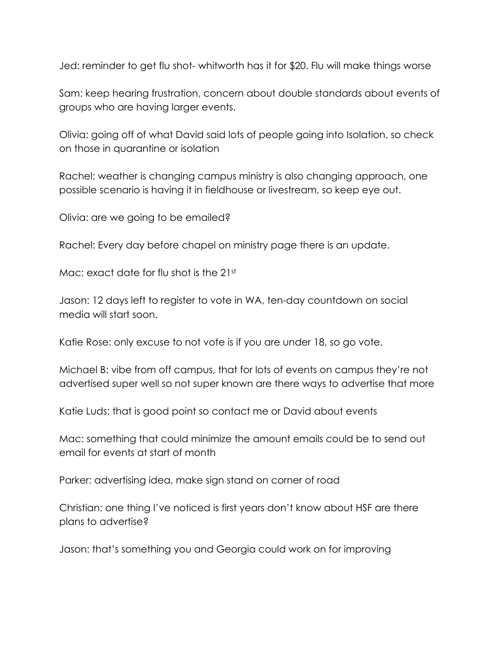Jed: reminder to get flu shot- whitworth has it for \$20. Flu will make things worse

Sam: keep hearing frustration, concern about double standards about events of groups who are having larger events.

Olivia: going off of what David said lots of people going into Isolation, so check on those in quarantine or isolation

Rachel: weather is changing campus ministry is also changing approach, one possible scenario is having it in fieldhouse or livestream, so keep eye out.

Olivia: are we going to be emailed?

Rachel: Every day before chapel on ministry page there is an update.

Mac: exact date for flu shot is the 21st

Jason: 12 days left to register to vote in WA, ten-day countdown on social media will start soon.

Katie Rose: only excuse to not vote is if you are under 18, so go vote.

Michael B: vibe from off campus, that for lots of events on campus they're not advertised super well so not super known are there ways to advertise that more

Katie Luds: that is good point so contact me or David about events

Mac: something that could minimize the amount emails could be to send out email for events at start of month

Parker: advertising idea, make sign stand on corner of road

Christian: one thing I've noticed is first years don't know about HSF are there plans to advertise?

Jason: that's something you and Georgia could work on for improving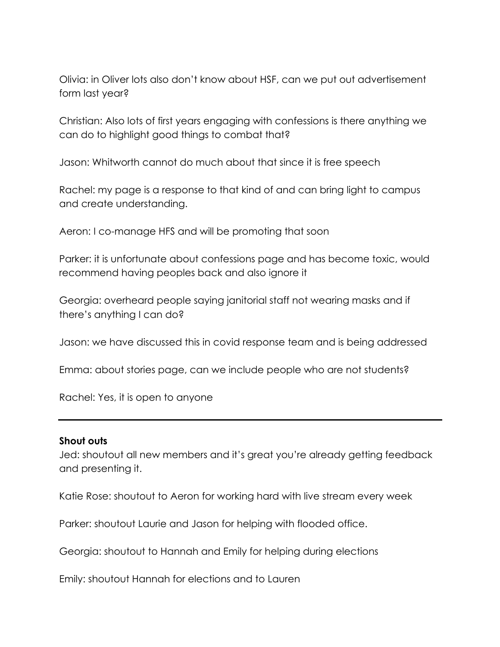Olivia: in Oliver lots also don't know about HSF, can we put out advertisement form last year?

Christian: Also lots of first years engaging with confessions is there anything we can do to highlight good things to combat that?

Jason: Whitworth cannot do much about that since it is free speech

Rachel: my page is a response to that kind of and can bring light to campus and create understanding.

Aeron: I co-manage HFS and will be promoting that soon

Parker: it is unfortunate about confessions page and has become toxic, would recommend having peoples back and also ignore it

Georgia: overheard people saying janitorial staff not wearing masks and if there's anything I can do?

Jason: we have discussed this in covid response team and is being addressed

Emma: about stories page, can we include people who are not students?

Rachel: Yes, it is open to anyone

#### **Shout outs**

Jed: shoutout all new members and it's great you're already getting feedback and presenting it.

Katie Rose: shoutout to Aeron for working hard with live stream every week

Parker: shoutout Laurie and Jason for helping with flooded office.

Georgia: shoutout to Hannah and Emily for helping during elections

Emily: shoutout Hannah for elections and to Lauren